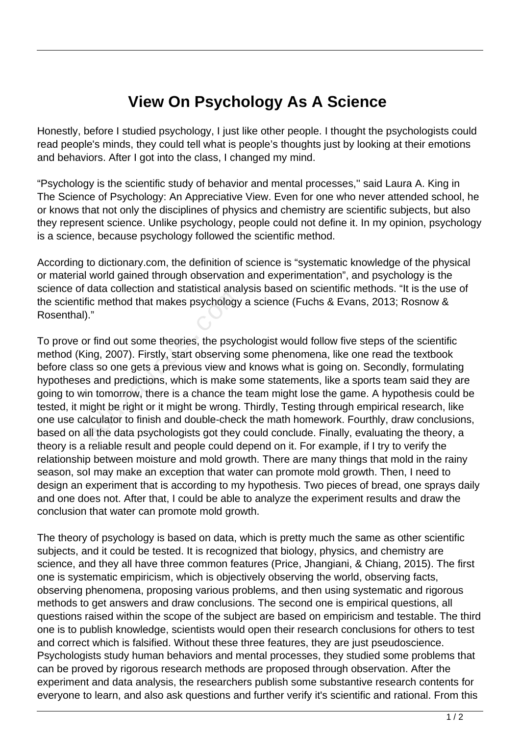## **View On Psychology As A Science**

Honestly, before I studied psychology, I just like other people. I thought the psychologists could read people's minds, they could tell what is people's thoughts just by looking at their emotions and behaviors. After I got into the class, I changed my mind.

"Psychology is the scientific study of behavior and mental processes,'' said Laura A. King in The Science of Psychology: An Appreciative View. Even for one who never attended school, he or knows that not only the disciplines of physics and chemistry are scientific subjects, but also they represent science. Unlike psychology, people could not define it. In my opinion, psychology is a science, because psychology followed the scientific method.

According to dictionary.com, the definition of science is "systematic knowledge of the physical or material world gained through observation and experimentation", and psychology is the science of data collection and statistical analysis based on scientific methods. "It is the use of the scientific method that makes psychology a science (Fuchs & Evans, 2013; Rosnow & Rosenthal)."

To prove or find out some theories, the psychologist would follow five steps of the scientific method (King, 2007). Firstly, start observing some phenomena, like one read the textbook before class so one gets a previous view and knows what is going on. Secondly, formulating hypotheses and predictions, which is make some statements, like a sports team said they are going to win tomorrow, there is a chance the team might lose the game. A hypothesis could be tested, it might be right or it might be wrong. Thirdly, Testing through empirical research, like one use calculator to finish and double-check the math homework. Fourthly, draw conclusions, based on all the data psychologists got they could conclude. Finally, evaluating the theory, a theory is a reliable result and people could depend on it. For example, if I try to verify the relationship between moisture and mold growth. There are many things that mold in the rainy season, soI may make an exception that water can promote mold growth. Then, I need to design an experiment that is according to my hypothesis. Two pieces of bread, one sprays daily and one does not. After that, I could be able to analyze the experiment results and draw the conclusion that water can promote mold growth. Fig. method that makes psychology<br>
Fig. method that makes psychology<br>
The process of the process of the process so one gets a previous view and<br>
Sections which is make that<br>
Sections which is make that<br>
Sections which is m

The theory of psychology is based on data, which is pretty much the same as other scientific subjects, and it could be tested. It is recognized that biology, physics, and chemistry are science, and they all have three common features (Price, Jhangiani, & Chiang, 2015). The first one is systematic empiricism, which is objectively observing the world, observing facts, observing phenomena, proposing various problems, and then using systematic and rigorous methods to get answers and draw conclusions. The second one is empirical questions, all questions raised within the scope of the subject are based on empiricism and testable. The third one is to publish knowledge, scientists would open their research conclusions for others to test and correct which is falsified. Without these three features, they are just pseudoscience. Psychologists study human behaviors and mental processes, they studied some problems that can be proved by rigorous research methods are proposed through observation. After the experiment and data analysis, the researchers publish some substantive research contents for everyone to learn, and also ask questions and further verify it's scientific and rational. From this